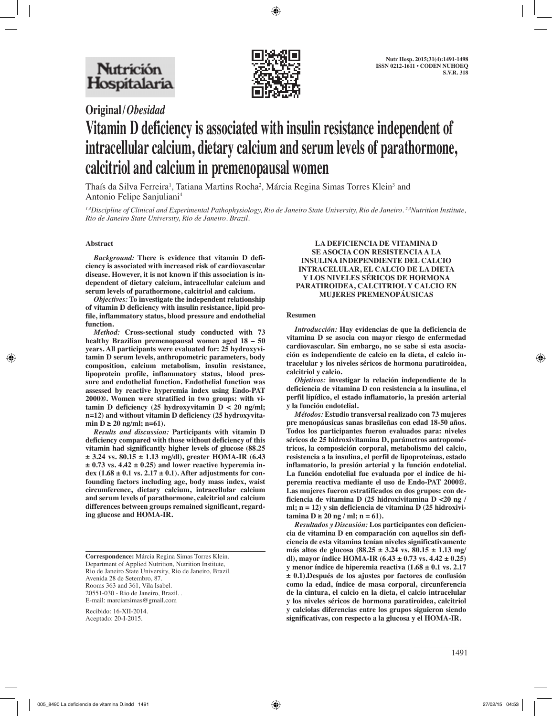

# **Original/***Obesidad* **Vitamin D deficiency is associated with insulin resistance independent of intracellular calcium, dietary calcium and serum levels of parathormone, calcitriol and calcium in premenopausal women**

Thaís da Silva Ferreira<sup>1</sup>, Tatiana Martins Rocha<sup>2</sup>, Márcia Regina Simas Torres Klein<sup>3</sup> and Antonio Felipe Sanjuliani4

*1,4Discipline of Clinical and Experimental Pathophysiology, Rio de Janeiro State University, Rio de Janeiro. 2,3Nutrition Institute, Rio de Janeiro State University, Rio de Janeiro. Brazil.*

## **Abstract**

*Background:* **There is evidence that vitamin D deficiency is associated with increased risk of cardiovascular disease. However, it is not known if this association is independent of dietary calcium, intracellular calcium and serum levels of parathormone, calcitriol and calcium.** 

*Objectives:* **To investigate the independent relationship of vitamin D deficiency with insulin resistance, lipid profile, inflammatory status, blood pressure and endothelial function.** 

*Method:* **Cross-sectional study conducted with 73 healthy Brazilian premenopausal women aged 18 – 50 years. All participants were evaluated for: 25 hydroxyvitamin D serum levels, anthropometric parameters, body composition, calcium metabolism, insulin resistance, lipoprotein profile, inflammatory status, blood pressure and endothelial function. Endothelial function was assessed by reactive hyperemia index using Endo-PAT 2000®. Women were stratified in two groups: with vitamin D deficiency (25 hydroxyvitamin D < 20 ng/ml; n=12) and without vitamin D deficiency (25 hydroxyvita**min D ≥ 20 ng/ml; n=61).

*Results and discussion:* **Participants with vitamin D deficiency compared with those without deficiency of this vitamin had significantly higher levels of glucose (88.25 ± 3.24 vs. 80.15 ± 1.13 mg/dl), greater HOMA-IR (6.43 ± 0.73 vs. 4.42 ± 0.25) and lower reactive hyperemia index (1.68 ± 0.1 vs. 2.17 ± 0.1). After adjustments for confounding factors including age, body mass index, waist circumference, dietary calcium, intracellular calcium and serum levels of parathormone, calcitriol and calcium differences between groups remained significant, regarding glucose and HOMA-IR.** 

Recibido: 16-XII-2014. Aceptado: 20-I-2015.

# **LA DEFICIENCIA DE VITAMINA D SE ASOCIA CON RESISTENCIA A LA INSULINA INDEPENDIENTE DEL CALCIO INTRACELULAR, EL CALCIO DE LA DIETA Y LOS NIVELES SÉRICOS DE HORMONA PARATIROIDEA, CALCITRIOL Y CALCIO EN MUJERES PREMENOPÁUSICAS**

#### **Resumen**

*Introducción:* **Hay evidencias de que la deficiencia de vitamina D se asocia con mayor riesgo de enfermedad cardiovascular. Sin embargo, no se sabe si esta asociación es independiente de calcio en la dieta, el calcio intracelular y los niveles séricos de hormona paratiroidea, calcitriol y calcio.**

*Objetivos:* **investigar la relación independiente de la deficiencia de vitamina D con resistencia a la insulina, el perfil lipídico, el estado inflamatorio, la presión arterial y la función endotelial.**

*Métodos:* **Estudio transversal realizado con 73 mujeres pre menopáusicas sanas brasileñas con edad 18-50 años. Todos los participantes fueron evaluados para: niveles séricos de 25 hidroxivitamina D, parámetros antropométricos, la composición corporal, metabolismo del calcio, resistencia a la insulina, el perfil de lipoproteínas, estado inflamatorio, la presión arterial y la función endotelial. La función endotelial fue evaluada por el índice de hiperemia reactiva mediante el uso de Endo-PAT 2000®. Las mujeres fueron estratificados en dos grupos: con deficiencia de vitamina D (25 hidroxivitamina D <20 ng / ml; n = 12) y sin deficiencia de vitamina D (25 hidroxivitamina** D ≥ 20 ng / ml; n = 61).

*Resultados y Discusión:* **Los participantes con deficiencia de vitamina D en comparación con aquellos sin deficiencia de esta vitamina tenían niveles significativamente más altos de glucosa (88.25 ± 3.24 vs. 80.15 ± 1.13 mg/ dl), mayor índice HOMA-IR (6.43 ± 0.73 vs. 4.42 ± 0.25) y menor índice de hiperemia reactiva (1.68 ± 0.1 vs. 2.17 ± 0.1).Después de los ajustes por factores de confusión como la edad, índice de masa corporal, circunferencia de la cintura, el calcio en la dieta, el calcio intracelular y los niveles séricos de hormona paratiroidea, calcitriol y calciolas diferencias entre los grupos siguieron siendo significativas, con respecto a la glucosa y el HOMA-IR.**

**Correspondence:** Márcia Regina Simas Torres Klein. Department of Applied Nutrition, Nutrition Institute, Rio de Janeiro State University, Rio de Janeiro, Brazil. Avenida 28 de Setembro, 87. Rooms 363 and 361, Vila Isabel. 20551-030 - Rio de Janeiro, Brazil. . E-mail: marciarsimas@gmail.com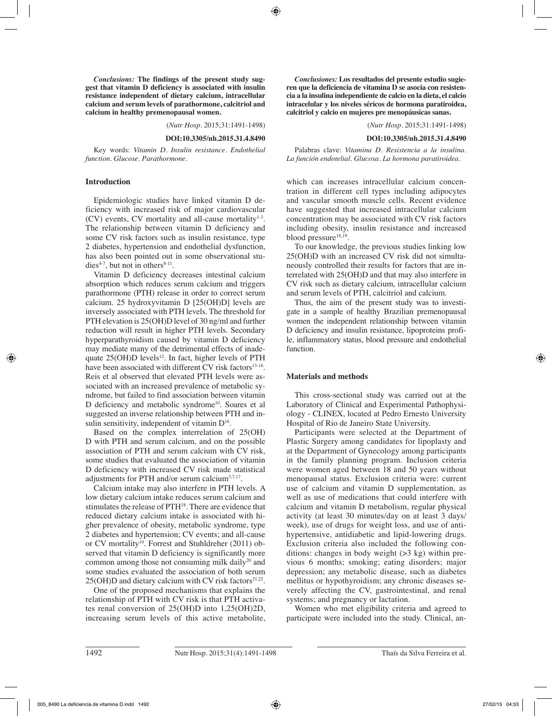*Conclusions:* **The findings of the present study suggest that vitamin D deficiency is associated with insulin resistance independent of dietary calcium, intracellular calcium and serum levels of parathormone, calcitriol and calcium in healthy premenopausal women.** 

(*Nutr Hosp.* 2015;31:1491-1498)

#### **DOI:10.3305/nh.2015.31.4.8490**

Key words: *Vitamin D. Insulin resistance. Endothelial function. Glucose. Parathormone.*

## **Introduction**

Epidemiologic studies have linked vitamin D deficiency with increased risk of major cardiovascular  $(CV)$  events, CV mortality and all-cause mortality<sup>1-3</sup>. The relationship between vitamin D deficiency and some CV risk factors such as insulin resistance, type 2 diabetes, hypertension and endothelial dysfunction, has also been pointed out in some observational studies<sup>4-7</sup>, but not in others<sup>8-11</sup>.

Vitamin D deficiency decreases intestinal calcium absorption which reduces serum calcium and triggers parathormone (PTH) release in order to correct serum calcium. 25 hydroxyvitamin D [25(OH)D] levels are inversely associated with PTH levels. The threshold for PTH elevation is 25(OH)D level of 30 ng/ml and further reduction will result in higher PTH levels. Secondary hyperparathyroidism caused by vitamin D deficiency may mediate many of the detrimental effects of inadequate  $25(OH)D$  levels<sup>12</sup>. In fact, higher levels of PTH have been associated with different CV risk factors $13-16$ . Reis et al observed that elevated PTH levels were associated with an increased prevalence of metabolic syndrome, but failed to find association between vitamin D deficiency and metabolic syndrome<sup>10</sup>. Soares et al suggested an inverse relationship between PTH and insulin sensitivity, independent of vitamin  $D^{16}$ .

Based on the complex interrelation of 25(OH) D with PTH and serum calcium, and on the possible association of PTH and serum calcium with CV risk, some studies that evaluated the association of vitamin D deficiency with increased CV risk made statistical adjustments for PTH and/or serum calcium3,7,17.

Calcium intake may also interfere in PTH levels. A low dietary calcium intake reduces serum calcium and stimulates the release of PTH18. There are evidence that reduced dietary calcium intake is associated with higher prevalence of obesity, metabolic syndrome, type 2 diabetes and hypertension; CV events; and all-cause or CV mortality<sup>19</sup>. Forrest and Stuhldreher (2011) observed that vitamin D deficiency is significantly more common among those not consuming milk daily<sup>20</sup> and some studies evaluated the association of both serum  $25(OH)D$  and dietary calcium with CV risk factors<sup>21,22</sup>.

One of the proposed mechanisms that explains the relationship of PTH with CV risk is that PTH activates renal conversion of 25(OH)D into 1,25(OH)2D, increasing serum levels of this active metabolite,

*Conclusiones:* **Los resultados del presente estudio sugieren que la deficiencia de vitamina D se asocia con resistencia a la insulina independiente de calcio en la dieta, el calcio intracelular y los niveles séricos de hormona paratiroidea, calcitriol y calcio en mujeres pre menopáusicas sanas.**

(*Nutr Hosp.* 2015;31:1491-1498)

#### **DOI:10.3305/nh.2015.31.4.8490**

Palabras clave: *Vitamina D. Resistencia a la insulina. La función endotelial. Glucosa. La hormona paratiroidea.*

which can increases intracellular calcium concentration in different cell types including adipocytes and vascular smooth muscle cells. Recent evidence have suggested that increased intracellular calcium concentration may be associated with CV risk factors including obesity, insulin resistance and increased blood pressure<sup>18,19</sup>.

To our knowledge, the previous studies linking low 25(OH)D with an increased CV risk did not simultaneously controlled their results for factors that are interrelated with 25(OH)D and that may also interfere in CV risk such as dietary calcium, intracellular calcium and serum levels of PTH, calcitriol and calcium.

Thus, the aim of the present study was to investigate in a sample of healthy Brazilian premenopausal women the independent relationship between vitamin D deficiency and insulin resistance, lipoproteins profile, inflammatory status, blood pressure and endothelial function.

# **Materials and methods**

This cross-sectional study was carried out at the Laboratory of Clinical and Experimental Pathophysiology - CLINEX, located at Pedro Ernesto University Hospital of Rio de Janeiro State University.

Participants were selected at the Department of Plastic Surgery among candidates for lipoplasty and at the Department of Gynecology among participants in the family planning program. Inclusion criteria were women aged between 18 and 50 years without menopausal status. Exclusion criteria were: current use of calcium and vitamin D supplementation, as well as use of medications that could interfere with calcium and vitamin D metabolism, regular physical activity (at least 30 minutes/day on at least 3 days/ week), use of drugs for weight loss, and use of antihypertensive, antidiabetic and lipid-lowering drugs. Exclusion criteria also included the following conditions: changes in body weight (>3 kg) within previous 6 months; smoking; eating disorders; major depression; any metabolic disease, such as diabetes mellitus or hypothyroidism; any chronic diseases severely affecting the CV, gastrointestinal, and renal systems; and pregnancy or lactation.

Women who met eligibility criteria and agreed to participate were included into the study. Clinical, an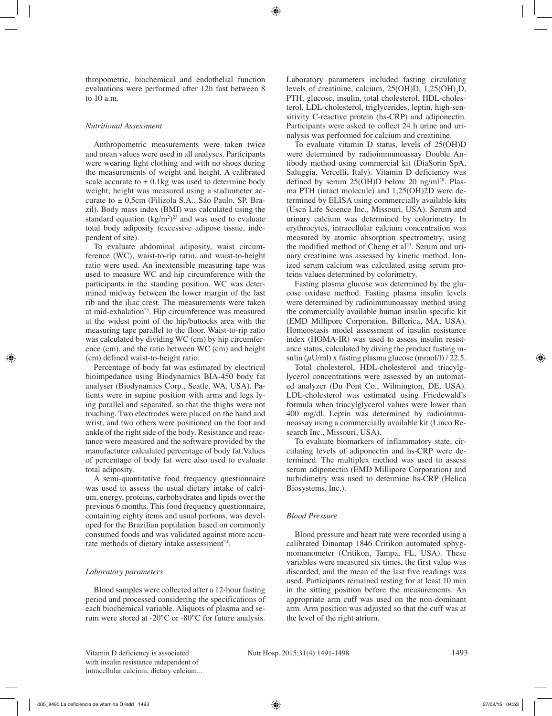thropometric, biochemical and endothelial function evaluations were performed after 12h fast between 8 to 10 a.m.

# *Nutritional Assessment*

Anthropometric measurements were taken twice and mean values were used in all analyses. Participants were wearing light clothing and with no shoes during the measurements of weight and height. A calibrated scale accurate to  $\pm$  0.1kg was used to determine body weight; height was measured using a stadiometer accurate to ± 0,5cm (Filizola S.A., São Paulo, SP, Brazil). Body mass index (BMI) was calculated using the standard equation  $(kg/m^2)^{23}$  and was used to evaluate total body adiposity (excessive adipose tissue, independent of site).

To evaluate abdominal adiposity, waist circumference (WC), waist-to-rip ratio, and waist-to-height ratio were used. An inextensible measuring tape was used to measure WC and hip circumference with the participants in the standing position. WC was determined midway between the lower margin of the last rib and the iliac crest. The measurements were taken at mid-exhalation<sup>23</sup>. Hip circumference was measured at the widest point of the hip/buttocks area with the measuring tape parallel to the floor. Waist-to-rip ratio was calculated by dividing WC (cm) by hip circumference (cm), and the ratio between WC (cm) and height (cm) defined waist-to-height ratio.

Percentage of body fat was estimated by electrical bioimpedance using Biodynamics BIA-450 body fat analyser (Biodynamics Corp., Seatle, WA, USA). Patients were in supine position with arms and legs lying parallel and separated, so that the thighs were not touching. Two electrodes were placed on the hand and wrist, and two others were positioned on the foot and ankle of the right side of the body. Resistance and reactance were measured and the software provided by the manufacturer calculated percentage of body fat.Values of percentage of body fat were also used to evaluate total adiposity.

A semi-quantitative food frequency questionnaire was used to assess the usual dietary intake of calcium, energy, proteins, carbohydrates and lipids over the previous 6 months. This food frequency questionnaire, containing eighty items and usual portions, was developed for the Brazilian population based on commonly consumed foods and was validated against more accurate methods of dietary intake assessment<sup>24</sup>.

# *Laboratory parameters*

Blood samples were collected after a 12-hour fasting period and processed considering the specifications of each biochemical variable. Aliquots of plasma and serum were stored at -20°C or -80°C for future analysis.

Laboratory parameters included fasting circulating levels of creatinine, calcium,  $25(OH)D$ ,  $1,25(OH)<sub>2</sub>D$ , PTH, glucose, insulin, total cholesterol, HDL-cholesterol, LDL-cholesterol, triglycerides, leptin, high-sensitivity C-reactive protein (hs-CRP) and adiponectin. Participants were asked to collect 24 h urine and urinalysis was performed for calcium and creatinine.

To evaluate vitamin D status, levels of 25(OH)D were determined by radioimmunoassay Double Antibody method using commercial kit (DiaSorin SpA, Saluggia, Vercelli, Italy). Vitamin D deficiency was defined by serum  $25(OH)D$  below  $20 \text{ ng/ml}^{28}$ . Plasma PTH (intact molecule) and 1,25(OH)2D were determined by ELISA using commercially available kits (Uscn Life Science Inc., Missouri, USA). Serum and urinary calcium was determined by colorimetry. In erythrocytes, intracellular calcium concentration was measured by atomic absorption spectrometry, using the modified method of Cheng et  $al^{25}$ . Serum and urinary creatinine was assessed by kinetic method. Ionized serum calcium was calculated using serum proteins values determined by colorimetry.

Fasting plasma glucose was determined by the glucose oxidase method. Fasting plasma insulin levels were determined by radioimmunoassay method using the commercially available human insulin specific kit (EMD Millipore Corporation, Billerica, MA, USA). Homeostasis model assessment of insulin resistance index (HOMA-IR) was used to assess insulin resistance status, calculated by diving the product fasting insulin  $(\mu U/ml)$  x fasting plasma glucose (mmol/l) / 22.5.

Total cholesterol, HDL-cholesterol and triacylglycerol concentrations were assessed by an automated analyzer (Du Pont Co., Wilmington, DE, USA). LDL-cholesterol was estimated using Friedewald's formula when triacylglycerol values were lower than 400 mg/dl. Leptin was determined by radioimmunoassay using a commercially available kit (Linco Research Inc., Missouri, USA).

To evaluate biomarkers of inflammatory state, circulating levels of adiponectin and hs-CRP were determined. The multiplex method was used to assess serum adiponectin (EMD Millipore Corporation) and turbidimetry was used to determine hs-CRP (Helica Biosystems, Inc.).

# *Blood Pressure*

Blood pressure and heart rate were recorded using a calibrated Dinamap 1846 Critikon automated sphygmomanometer (Critikon, Tampa, FL, USA). These variables were measured six times, the first value was discarded, and the mean of the last five readings was used. Participants remained resting for at least 10 min in the sitting position before the measurements. An appropriate arm cuff was used on the non-dominant arm. Arm position was adjusted so that the cuff was at the level of the right atrium.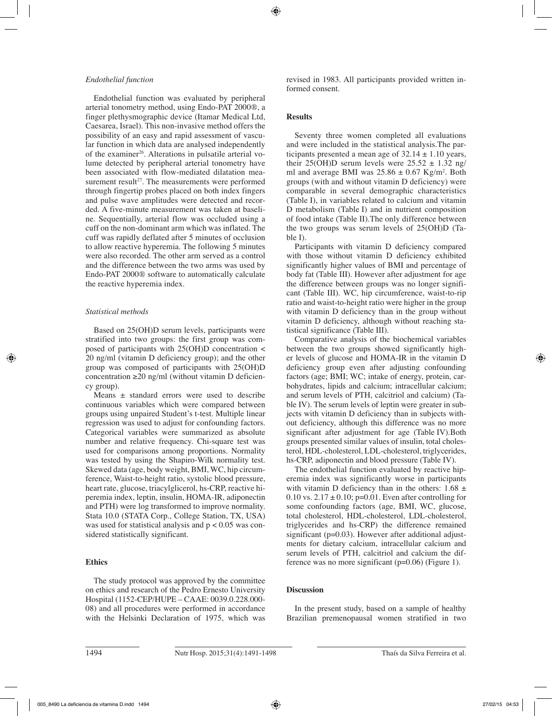# *Endothelial function*

Endothelial function was evaluated by peripheral arterial tonometry method, using Endo-PAT 2000®, a finger plethysmographic device (Itamar Medical Ltd, Caesarea, Israel). This non-invasive method offers the possibility of an easy and rapid assessment of vascular function in which data are analysed independently of the examiner<sup>26</sup>. Alterations in pulsatile arterial volume detected by peripheral arterial tonometry have been associated with flow-mediated dilatation measurement result<sup>27</sup>. The measurements were performed through fingertip probes placed on both index fingers and pulse wave amplitudes were detected and recorded. A five-minute measurement was taken at baseline. Sequentially, arterial flow was occluded using a cuff on the non-dominant arm which was inflated. The cuff was rapidly deflated after 5 minutes of occlusion to allow reactive hyperemia. The following 5 minutes were also recorded. The other arm served as a control and the difference between the two arms was used by Endo-PAT 2000® software to automatically calculate the reactive hyperemia index.

## *Statistical methods*

Based on 25(OH)D serum levels, participants were stratified into two groups: the first group was composed of participants with 25(OH)D concentration < 20 ng/ml (vitamin D deficiency group); and the other group was composed of participants with 25(OH)D concentration ≥20 ng/ml (without vitamin D deficiency group).

Means ± standard errors were used to describe continuous variables which were compared between groups using unpaired Student's t-test. Multiple linear regression was used to adjust for confounding factors. Categorical variables were summarized as absolute number and relative frequency. Chi-square test was used for comparisons among proportions. Normality was tested by using the Shapiro-Wilk normality test. Skewed data (age, body weight, BMI, WC, hip circumference, Waist-to-height ratio, systolic blood pressure, heart rate, glucose, triacylglicerol, hs-CRP, reactive hiperemia index, leptin, insulin, HOMA-IR, adiponectin and PTH) were log transformed to improve normality. Stata 10.0 (STATA Corp., College Station, TX, USA) was used for statistical analysis and  $p < 0.05$  was considered statistically significant.

# **Ethics**

The study protocol was approved by the committee on ethics and research of the Pedro Ernesto University Hospital (1152-CEP/HUPE – CAAE: 0039.0.228.000- 08) and all procedures were performed in accordance with the Helsinki Declaration of 1975, which was revised in 1983. All participants provided written informed consent.

# **Results**

Seventy three women completed all evaluations and were included in the statistical analysis.The participants presented a mean age of  $32.14 \pm 1.10$  years, their 25(OH)D serum levels were  $25.52 \pm 1.32$  ng/ ml and average BMI was  $25.86 \pm 0.67$  Kg/m<sup>2</sup>. Both groups (with and without vitamin D deficiency) were comparable in several demographic characteristics (Table I), in variables related to calcium and vitamin D metabolism (Table I) and in nutrient composition of food intake (Table II).The only difference between the two groups was serum levels of 25(OH)D (Table I).

Participants with vitamin D deficiency compared with those without vitamin D deficiency exhibited significantly higher values of BMI and percentage of body fat (Table III). However after adjustment for age the difference between groups was no longer significant (Table III). WC, hip circumference, waist-to-rip ratio and waist-to-height ratio were higher in the group with vitamin D deficiency than in the group without vitamin D deficiency, although without reaching statistical significance (Table III).

Comparative analysis of the biochemical variables between the two groups showed significantly higher levels of glucose and HOMA-IR in the vitamin D deficiency group even after adjusting confounding factors (age; BMI; WC; intake of energy, protein, carbohydrates, lipids and calcium; intracellular calcium; and serum levels of PTH, calcitriol and calcium) (Table IV). The serum levels of leptin were greater in subjects with vitamin D deficiency than in subjects without deficiency, although this difference was no more significant after adjustment for age (Table IV).Both groups presented similar values of insulin, total cholesterol, HDL-cholesterol, LDL-cholesterol, triglycerides, hs-CRP, adiponectin and blood pressure (Table IV).

The endothelial function evaluated by reactive hiperemia index was significantly worse in participants with vitamin D deficiency than in the others:  $1.68 \pm$ 0.10 vs.  $2.17 \pm 0.10$ ; p=0.01. Even after controlling for some confounding factors (age, BMI, WC, glucose, total cholesterol, HDL-cholesterol, LDL-cholesterol, triglycerides and hs-CRP) the difference remained significant ( $p=0.03$ ). However after additional adjustments for dietary calcium, intracellular calcium and serum levels of PTH, calcitriol and calcium the difference was no more significant (p=0.06) (Figure 1).

### **Discussion**

In the present study, based on a sample of healthy Brazilian premenopausal women stratified in two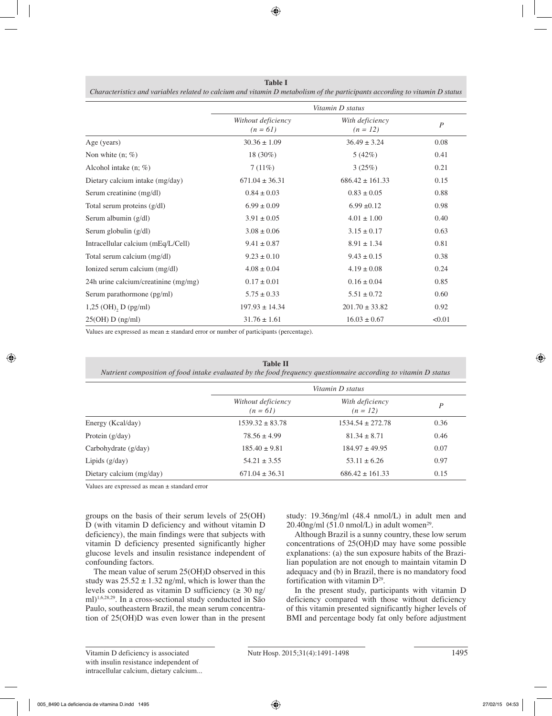| <b>Table 1</b>                                                                                                              |
|-----------------------------------------------------------------------------------------------------------------------------|
| Characteristics and variables related to calcium and vitamin D metabolism of the participants according to vitamin D status |

|                                      | Vitamin D status                 |                               |                  |  |
|--------------------------------------|----------------------------------|-------------------------------|------------------|--|
|                                      | Without deficiency<br>$(n = 61)$ | With deficiency<br>$(n = 12)$ | $\boldsymbol{P}$ |  |
| Age (years)                          | $30.36 \pm 1.09$                 | $36.49 \pm 3.24$              | 0.08             |  |
| Non white $(n; \%)$                  | $18(30\%)$                       | 5(42%)                        | 0.41             |  |
| Alcohol intake $(n; \%)$             | 7(11%)                           | 3(25%)                        | 0.21             |  |
| Dietary calcium intake (mg/day)      | $671.04 \pm 36.31$               | $686.42 \pm 161.33$           | 0.15             |  |
| Serum creatinine (mg/dl)             | $0.84 \pm 0.03$                  | $0.83 \pm 0.05$               | 0.88             |  |
| Total serum proteins (g/dl)          | $6.99 \pm 0.09$                  | $6.99 \pm 0.12$               | 0.98             |  |
| Serum albumin (g/dl)                 | $3.91 \pm 0.05$                  | $4.01 \pm 1.00$               | 0.40             |  |
| Serum globulin (g/dl)                | $3.08 \pm 0.06$                  | $3.15 \pm 0.17$               | 0.63             |  |
| Intracellular calcium (mEq/L/Cell)   | $9.41 \pm 0.87$                  | $8.91 \pm 1.34$               | 0.81             |  |
| Total serum calcium (mg/dl)          | $9.23 \pm 0.10$                  | $9.43 \pm 0.15$               | 0.38             |  |
| Ionized serum calcium (mg/dl)        | $4.08 \pm 0.04$                  | $4.19 \pm 0.08$               | 0.24             |  |
| 24h urine calcium/creatinine (mg/mg) | $0.17 \pm 0.01$                  | $0.16 \pm 0.04$               | 0.85             |  |
| Serum parathormone (pg/ml)           | $5.75 \pm 0.33$                  | $5.51 \pm 0.72$               | 0.60             |  |
| $1,25$ (OH), D (pg/ml)               | $197.93 \pm 14.34$               | $201.70 \pm 33.82$            | 0.92             |  |
| 25(OH) D (ng/ml)                     | $31.76 \pm 1.61$                 | $16.03 \pm 0.67$              | < 0.01           |  |

Values are expressed as mean ± standard error or number of participants (percentage).

**Table II** *Nutrient composition of food intake evaluated by the food frequency questionnaire according to vitamin D status Vitamin D status Without deficiency (n = 61) With deficiency*  $(n = 12)$  *P* Energy (Kcal/day) 1539.32 ± 83.78 1534.54 ± 272.78 0.36 Protein (g/day) 78.56 ± 4.99 81.34 ± 8.71 0.46 Carbohydrate (g/day)  $185.40 \pm 9.81$  184.97  $\pm 49.95$  0.07 Lipids (g/day) 54.21 ± 3.55 53.11 ± 6.26 0.97 Dietary calcium (mg/day) 671.04 ± 36.31 686.42 ± 161.33 0.15

Values are expressed as mean ± standard error

groups on the basis of their serum levels of 25(OH) D (with vitamin D deficiency and without vitamin D deficiency), the main findings were that subjects with vitamin D deficiency presented significantly higher glucose levels and insulin resistance independent of confounding factors.

The mean value of serum 25(OH)D observed in this study was  $25.52 \pm 1.32$  ng/ml, which is lower than the levels considered as vitamin D sufficiency ( $\geq 30$  ng/ ml)1,6,28,29. In a cross-sectional study conducted in São Paulo, southeastern Brazil, the mean serum concentration of 25(OH)D was even lower than in the present study: 19.36ng/ml (48.4 nmol/L) in adult men and  $20.40$ ng/ml (51.0 nmol/L) in adult women<sup>29</sup>.

Although Brazil is a sunny country, these low serum concentrations of 25(OH)D may have some possible explanations: (a) the sun exposure habits of the Brazilian population are not enough to maintain vitamin D adequacy and (b) in Brazil, there is no mandatory food fortification with vitamin  $D^{29}$ .

In the present study, participants with vitamin D deficiency compared with those without deficiency of this vitamin presented significantly higher levels of BMI and percentage body fat only before adjustment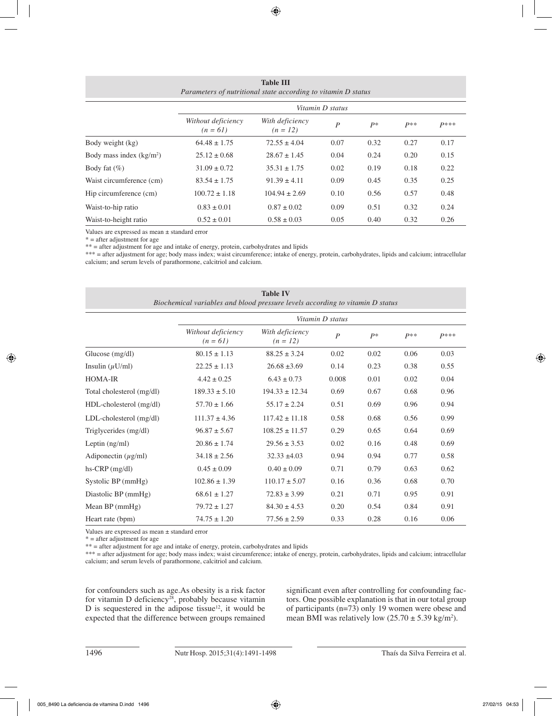| Parameters of nutritional state according to vitamin D status |                                  |                               |                  |       |       |        |  |
|---------------------------------------------------------------|----------------------------------|-------------------------------|------------------|-------|-------|--------|--|
|                                                               | Vitamin D status                 |                               |                  |       |       |        |  |
|                                                               | Without deficiency<br>$(n = 61)$ | With deficiency<br>$(n = 12)$ | $\boldsymbol{P}$ | $P^*$ | $P**$ | $P***$ |  |
| Body weight (kg)                                              | $64.48 \pm 1.75$                 | $72.55 \pm 4.04$              | 0.07             | 0.32  | 0.27  | 0.17   |  |
| Body mass index $(kg/m2)$                                     | $25.12 \pm 0.68$                 | $28.67 \pm 1.45$              | 0.04             | 0.24  | 0.20  | 0.15   |  |
| Body fat $(\% )$                                              | $31.09 \pm 0.72$                 | $35.31 \pm 1.75$              | 0.02             | 0.19  | 0.18  | 0.22   |  |
| Waist circumference (cm)                                      | $83.54 \pm 1.75$                 | $91.39 \pm 4.11$              | 0.09             | 0.45  | 0.35  | 0.25   |  |
| Hip circumference (cm)                                        | $100.72 \pm 1.18$                | $104.94 \pm 2.69$             | 0.10             | 0.56  | 0.57  | 0.48   |  |
| Waist-to-hip ratio                                            | $0.83 \pm 0.01$                  | $0.87 \pm 0.02$               | 0.09             | 0.51  | 0.32  | 0.24   |  |
| Waist-to-height ratio                                         | $0.52 \pm 0.01$                  | $0.58 \pm 0.03$               | 0.05             | 0.40  | 0.32  | 0.26   |  |

**Table III**

Values are expressed as mean ± standard error

 $* =$  after adjustment for age

\*\* = after adjustment for age and intake of energy, protein, carbohydrates and lipids

\*\*\* = after adjustment for age; body mass index; waist circumference; intake of energy, protein, carbohydrates, lipids and calcium; intracellular calcium; and serum levels of parathormone, calcitriol and calcium.

| <b>Table IV</b><br>Biochemical variables and blood pressure levels according to vitamin D status |                                  |                               |                  |       |       |        |  |  |
|--------------------------------------------------------------------------------------------------|----------------------------------|-------------------------------|------------------|-------|-------|--------|--|--|
|                                                                                                  | Vitamin D status                 |                               |                  |       |       |        |  |  |
|                                                                                                  | Without deficiency<br>$(n = 61)$ | With deficiency<br>$(n = 12)$ | $\boldsymbol{P}$ | $P^*$ | $P**$ | $P***$ |  |  |
| Glucose $(mg/dl)$                                                                                | $80.15 \pm 1.13$                 | $88.25 \pm 3.24$              | 0.02             | 0.02  | 0.06  | 0.03   |  |  |
| Insulin $(\mu U/ml)$                                                                             | $22.25 \pm 1.13$                 | $26.68 \pm 3.69$              | 0.14             | 0.23  | 0.38  | 0.55   |  |  |
| <b>HOMA-IR</b>                                                                                   | $4.42 \pm 0.25$                  | $6.43 \pm 0.73$               | 0.008            | 0.01  | 0.02  | 0.04   |  |  |
| Total cholesterol (mg/dl)                                                                        | $189.33 \pm 5.10$                | $194.33 \pm 12.34$            | 0.69             | 0.67  | 0.68  | 0.96   |  |  |
| HDL-cholesterol (mg/dl)                                                                          | $57.70 \pm 1.66$                 | $55.17 \pm 2.24$              | 0.51             | 0.69  | 0.96  | 0.94   |  |  |
| LDL-cholesterol (mg/dl)                                                                          | $111.37 \pm 4.36$                | $117.42 \pm 11.18$            | 0.58             | 0.68  | 0.56  | 0.99   |  |  |
| Triglycerides (mg/dl)                                                                            | $96.87 \pm 5.67$                 | $108.25 \pm 11.57$            | 0.29             | 0.65  | 0.64  | 0.69   |  |  |
| Leptin $(ng/ml)$                                                                                 | $20.86 \pm 1.74$                 | $29.56 \pm 3.53$              | 0.02             | 0.16  | 0.48  | 0.69   |  |  |
| Adiponectin $(\mu g/ml)$                                                                         | $34.18 \pm 2.56$                 | $32.33 \pm 4.03$              | 0.94             | 0.94  | 0.77  | 0.58   |  |  |
| $hs-CRP$ (mg/dl)                                                                                 | $0.45 \pm 0.09$                  | $0.40 \pm 0.09$               | 0.71             | 0.79  | 0.63  | 0.62   |  |  |
| Systolic BP (mmHg)                                                                               | $102.86 \pm 1.39$                | $110.17 \pm 5.07$             | 0.16             | 0.36  | 0.68  | 0.70   |  |  |
| Diastolic BP (mmHg)                                                                              | $68.61 \pm 1.27$                 | $72.83 \pm 3.99$              | 0.21             | 0.71  | 0.95  | 0.91   |  |  |
| Mean $BP$ (mmHg)                                                                                 | $79.72 \pm 1.27$                 | $84.30 \pm 4.53$              | 0.20             | 0.54  | 0.84  | 0.91   |  |  |
| Heart rate (bpm)                                                                                 | $74.75 \pm 1.20$                 | $77.56 \pm 2.59$              | 0.33             | 0.28  | 0.16  | 0.06   |  |  |

Values are expressed as mean ± standard error

 $* =$  after adjustment for age

\*\* = after adjustment for age and intake of energy, protein, carbohydrates and lipids

\*\*\* = after adjustment for age; body mass index; waist circumference; intake of energy, protein, carbohydrates, lipids and calcium; intracellular calcium; and serum levels of parathormone, calcitriol and calcium.

for confounders such as age.As obesity is a risk factor for vitamin D deficiency<sup>28</sup>, probably because vitamin D is sequestered in the adipose tissue $12$ , it would be expected that the difference between groups remained significant even after controlling for confounding factors. One possible explanation is that in our total group of participants (n=73) only 19 women were obese and mean BMI was relatively low  $(25.70 \pm 5.39 \text{ kg/m}^2)$ .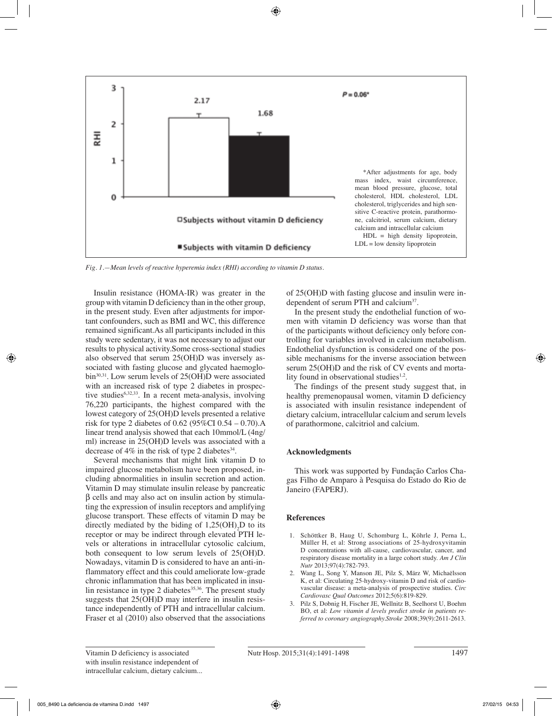

*Fig. 1.—Mean levels of reactive hyperemia index (RHI) according to vitamin D status.*

Insulin resistance (HOMA-IR) was greater in the group with vitamin D deficiency than in the other group, in the present study. Even after adjustments for important confounders, such as BMI and WC, this difference remained significant.As all participants included in this study were sedentary, it was not necessary to adjust our results to physical activity.Some cross-sectional studies also observed that serum 25(OH)D was inversely associated with fasting glucose and glycated haemoglobin30,31. Low serum levels of 25(OH)D were associated with an increased risk of type 2 diabetes in prospective studies<sup>6,32,33</sup>. In a recent meta-analysis, involving 76,220 participants, the highest compared with the lowest category of 25(OH)D levels presented a relative risk for type 2 diabetes of 0.62 (95%CI 0.54 – 0.70).A linear trend analysis showed that each 10mmol/L (4ng/ ml) increase in 25(OH)D levels was associated with a decrease of  $4\%$  in the risk of type 2 diabetes<sup>34</sup>.

Several mechanisms that might link vitamin D to impaired glucose metabolism have been proposed, including abnormalities in insulin secretion and action. Vitamin D may stimulate insulin release by pancreatic β cells and may also act on insulin action by stimulating the expression of insulin receptors and amplifying glucose transport. These effects of vitamin D may be directly mediated by the biding of  $1,25(OH)$ <sub>2</sub>D to its receptor or may be indirect through elevated PTH levels or alterations in intracellular cytosolic calcium, both consequent to low serum levels of 25(OH)D. Nowadays, vitamin D is considered to have an anti-inflammatory effect and this could ameliorate low-grade chronic inflammation that has been implicated in insulin resistance in type 2 diabetes $35,36$ . The present study suggests that 25(OH)D may interfere in insulin resistance independently of PTH and intracellular calcium. Fraser et al (2010) also observed that the associations

of 25(OH)D with fasting glucose and insulin were independent of serum PTH and calcium37.

In the present study the endothelial function of women with vitamin D deficiency was worse than that of the participants without deficiency only before controlling for variables involved in calcium metabolism. Endothelial dysfunction is considered one of the possible mechanisms for the inverse association between serum 25(OH)D and the risk of CV events and mortality found in observational studies $1,2$ .

The findings of the present study suggest that, in healthy premenopausal women, vitamin D deficiency is associated with insulin resistance independent of dietary calcium, intracellular calcium and serum levels of parathormone, calcitriol and calcium.

# **Acknowledgments**

This work was supported by Fundação Carlos Chagas Filho de Amparo à Pesquisa do Estado do Rio de Janeiro (FAPERJ).

# **References**

- 1. Schöttker B, Haug U, Schomburg L, Köhrle J, Perna L, Müller H, et al: Strong associations of 25-hydroxyvitamin D concentrations with all-cause, cardiovascular, cancer, and respiratory disease mortality in a large cohort study. *Am J Clin Nutr* 2013;97(4):782-793.
- 2. Wang L, Song Y, Manson JE, Pilz S, März W, Michaëlsson K, et al: Circulating 25-hydroxy-vitamin D and risk of cardiovascular disease: a meta-analysis of prospective studies. *Circ Cardiovasc Qual Outcomes* 2012;5(6):819-829.
- 3. Pilz S, Dobnig H, Fischer JE, Wellnitz B, Seelhorst U, Boehm BO, et al: *Low vitamin d levels predict stroke in patients referred to coronary angiography.Stroke* 2008;39(9):2611-2613.